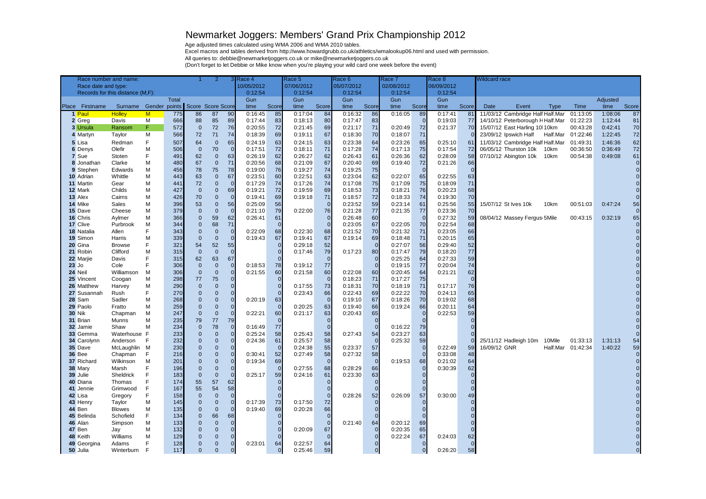## Newmarket Joggers: Members' Grand Prix Championship 2012

Age adjusted times calculated using WMA 2006 and WMA 2010 tables.

Excel macros and tables derived from http://www.howardgrubb.co.uk/athletics/wmalookup06.html and used with permission.

All queries to: debbie@newmarketjoggers.co.uk or mike@newmarketjoggers.co.uk

(Don't forget to let Debbie or Mike know when you're playing your wild card one week before the event)

| Race number and name:<br>2       |                         |              |            |                          | 3 Race 4<br>Race 5       |                                |         | Race 6<br>Race 7 |         |                            |                    | Race 8<br><b>Wildcard race</b> |         |                      |                    |              |              |                                  |             |                   |         |       |
|----------------------------------|-------------------------|--------------|------------|--------------------------|--------------------------|--------------------------------|---------|------------------|---------|----------------------------|--------------------|--------------------------------|---------|----------------------|--------------------|--------------|--------------|----------------------------------|-------------|-------------------|---------|-------|
| Race date and type:              |                         |              |            |                          |                          | 10/05/2012                     |         | 07/06/2012       |         | 05/07/2012                 |                    | 02/08/2012                     |         | 06/09/2012           |                    |              |              |                                  |             |                   |         |       |
| Records for this distance (M,F): |                         |              |            |                          | 0:12:54                  |                                | 0:12:54 |                  | 0:12:54 |                            | 0:12:54            |                                | 0:12:54 |                      |                    |              |              |                                  |             |                   |         |       |
| <b>Total</b>                     |                         |              |            |                          | Gun                      |                                | Gun     |                  | Gun     |                            | Gun                |                                | Gun     |                      |                    |              |              |                                  | Adjusted    |                   |         |       |
| Place Firstname                  | Surname Gender points   |              |            | Score Score Score        |                          |                                | time    | Score            | time    | Score                      | time               | Score                          | time    | Score                | time               | Score        | Date         | Event                            | <b>Type</b> | Time              | time    | Score |
| 1 Paul                           | <b>Holley</b>           | $\mathsf{M}$ | 775        | 86                       | 87                       | 90                             | 0:16:45 | 85               | 0:17:04 | 84                         | 0:16:32            | 86                             | 0:16:05 | 89                   | 0:17:41            | 81           |              | 11/03/12 Cambridge Half Half.Mar |             | 01:13:05          | 1:08:06 | 87    |
| 2 Greg                           | Davis                   | M            | 666        | 88                       | 85                       | 89                             | 0:17:44 | 83               | 0:18:13 | 80                         | 0:17:47            | 83                             |         | $\Omega$             | 0:19:03            | 77           |              | 14/10/12 Peterborough H Half.Mar |             | 01:22:23          | 1:12:44 | 81    |
| 3 Ursula                         | Ransom                  | F.           | 572        | $\mathbf{0}$             | 72                       | 76                             | 0:20:55 | 72               | 0:21:45 | 69                         | 0:21:17            | 71                             | 0:20:49 | 72                   | 0:21:37            | 70           |              | 15/07/12 East Harling 10 10 km   |             | 00:43:28          | 0:42:41 | 70    |
| 4 Martyn                         | Taylor                  | M            | 566        | 72                       | 71                       | 74                             | 0:18:39 | 69               | 0:19:11 | 67                         | 0:18:30            | 70                             | 0:18:07 | 71                   |                    |              |              | 23/09/12 Ipswich Half            | Half.Mar    | 01:22:46          | 1:22:45 | 72    |
| 5 Lisa                           | Redman                  | F            | 507        | 64                       | $\mathbf 0$              | 65                             | 0:24:19 | 63               | 0:24:15 | 63                         | 0:23:38            | 64                             | 0:23:26 | 65                   | 0:25:10            | 61           |              | 11/03/12 Cambridge Half Half.Mar |             | 01:49:31          | 1:46:36 | 62    |
| 6 Denys                          | Olefir                  | M            | 506        | $\mathbf 0$              | 70                       | $\Omega$                       | 0:17:51 | 72               | 0:18:11 | 71                         | 0:17:28            | 74                             | 0:17:13 | 75                   | 0:17:54            | 72           |              | 06/05/12 Thurston 10k            | 10km        | 00:36:50          | 0:36:49 | 72    |
| 7 Sue                            | Stoten                  | F            | 491        | 62                       | $\mathbf 0$              | 63                             | 0:26:19 | 62               | 0:26:27 | 62                         | 0:26:43            | 61                             | 0:26:36 | 62                   | 0:28:09            | 58           |              | 07/10/12 Abington 10k            | 10km        | 00:54:38          | 0:49:08 | 61    |
| 8 Jonathan                       | Clarke                  | м            | 480        | 67                       | $\mathbf{0}$             | 71                             | 0:20:56 | 68               | 0:21:09 | 67                         | 0:20:40            | 69                             | 0:19:40 | 72                   | 0:21:26            | 66           |              |                                  |             |                   |         |       |
| 9 Stephen                        | Edwards                 | M            | 456        | 78                       | 75                       | 78                             | 0:19:00 | 76               | 0:19:27 | 74                         | 0:19:25            | 75                             |         | $\Omega$             |                    | $\mathbf{0}$ |              |                                  |             |                   |         |       |
| 10 Adrian                        | Whittle                 | м            | 443        | 63                       | $\mathbf 0$              | 67                             | 0:23:51 | 60               | 0:22:51 | 63                         | 0:23:04            | 62                             | 0:22:07 | 65                   | 0:22:55            | 63           |              |                                  |             |                   |         |       |
| 11 Martin                        | Gear                    | м            | 441        | 72                       | $\Omega$                 | $\mathbf{0}$                   | 0:17:29 | 74               | 0:17:26 | 74                         | 0:17:08            | 75                             | 0:17:09 | 75                   | 0:18:09            | 71           |              |                                  |             |                   |         |       |
| 12 Mark                          | Childs                  | м            | 427        | $\mathbf 0$              | $\mathbf{0}$             | 69                             | 0:19:21 | 72               | 0:19:59 | 69                         | 0:18:53            | 73                             | 0:18:21 | 76                   | 0:20:23            | 68           |              |                                  |             |                   |         |       |
| 13 Alex                          | Cairns                  | M            | 426        | 70                       | $\Omega$                 | $\Omega$                       | 0:19:41 | 69               | 0:19:18 | 71                         | 0:18:57            | 72                             | 0:18:33 | 74                   | 0:19:30            | 70           |              |                                  |             |                   |         |       |
| 14 Mike                          | Sales                   | м            | 396        | 53                       | $\mathbf{0}$             | 56                             | 0:25:09 | 56               |         | $\overline{0}$             | 0:23:52            | 59                             | 0:23:14 | 61                   | 0:25:56            | 55           |              | 15/07/12 St Ives 10k             | 10km        | 00:51:03          | 0:47:24 | 56    |
| 15 Dave                          | Cheese                  | м            | 379<br>366 | $\mathbf{0}$<br>$\Omega$ | $\mathbf{0}$<br>59       | $\Omega$<br>62                 | 0:21:10 | 79<br>61         | 0:22:00 | 76                         | 0:21:28            | 77<br>60                       | 0:21:35 | 77<br>$\overline{0}$ | 0:23:36            | 70           |              |                                  |             |                   |         | 65    |
| 16 Chris<br>17 Clive             | Aylmer<br>Purbrook      | м<br>M       | 344        | $\Omega$                 | 68                       | 71                             | 0:26:41 | $\Omega$         |         | $\overline{0}$<br>$\Omega$ | 0:26:48<br>0:23:05 | 67                             | 0:22:05 | 70                   | 0:27:32<br>0:22:54 | 59<br>68     |              | 08/04/12 Massey Fergus 5Mile     |             | 00:43:15          | 0:32:19 |       |
| 18 Natalia                       | Allen                   | F            | 343        | $\mathbf{0}$             | $\overline{0}$           | $\mathbf{0}$                   | 0:22:09 | 68               | 0:22:30 | 68                         | 0:21:52            | 70                             | 0:21:32 | 71                   | 0:23:05            | 66           |              |                                  |             |                   |         |       |
| 19 Simon                         | Harris                  | M            | 339        | $\mathbf 0$              | $\mathbf{0}$             | $\Omega$                       | 0:19:43 | 67               | 0:19:41 | 67                         | 0:19:14            | 69                             | 0:18:48 | 71                   | 0:20:15            | 65           |              |                                  |             |                   |         |       |
| 20 Gina                          | <b>Browse</b>           | F            | 321        | 54                       | 52                       | 55                             |         | $\Omega$         | 0:29:18 | 52                         |                    | $\overline{0}$                 | 0:27:07 | 56                   | 0:29:40            | 52           |              |                                  |             |                   |         |       |
| 21 Robin                         | Clifford                | M            | 315        | $\mathbf{0}$             | $\mathbf{0}$             | $\Omega$                       |         |                  | 0:17:46 | 79                         | 0:17:23            | 80                             | 0:17:47 | 79                   | 0:18:20            | 77           |              |                                  |             |                   |         |       |
| 22 Mariie                        | Davis                   | E            | 315        | 62                       | 63                       | 67                             |         |                  |         | $\overline{0}$             |                    | $\mathbf{0}$                   | 0:25:25 | 64                   | 0:27:33            | 59           |              |                                  |             |                   |         |       |
| $23$ Jo                          | Cole                    | F            | 306        | $\mathbf{0}$             | $\overline{0}$           | $\mathbf{0}$                   | 0:18:53 | 78               | 0:19:12 | 77                         |                    | $\mathbf{0}$                   | 0:19:15 | 77                   | 0:20:04            | 74           |              |                                  |             |                   |         |       |
| 24 Neil                          | Williamson              | м            | 306        | $\mathbf{0}$             | $\mathbf 0$              | $\mathbf{0}$                   | 0:21:55 | 60               | 0:21:58 | 60                         | 0:22:08            | 60                             | 0:20:45 | 64                   | 0:21:21            | 62           |              |                                  |             |                   |         |       |
| 25 Vincent                       | Coogan                  | м            | 298        | 77                       | 75                       | $\mathbf{0}$                   |         |                  |         | $\overline{0}$             | 0:18:23            | 71                             | 0:17:27 | 75                   |                    | $\Omega$     |              |                                  |             |                   |         |       |
| 26 Matthew                       | Harvey                  | M            | 290        | $\overline{0}$           | $\Omega$                 | $\Omega$                       |         |                  | 0:17:55 | 73                         | 0:18:31            | 70                             | 0:18:19 | 71                   | 0:17:17            | 76           |              |                                  |             |                   |         |       |
| 27 Susannah                      | Rush                    | F            | 270        | $\overline{0}$           | $\Omega$                 | $\Omega$                       |         | $\Omega$         | 0:23:43 | 66                         | 0:22:43            | 69                             | 0:22:22 | 70                   | 0:24:13            | 65           |              |                                  |             |                   |         |       |
| 28 Sam                           | Sadler                  | м            | 268        | $\Omega$                 | $\Omega$                 | $\mathbf 0$                    | 0:20:19 | 63               |         | $\overline{0}$             | 0:19:10            | 67                             | 0:18:26 | 70                   | 0:19:02            | 68           |              |                                  |             |                   |         |       |
| 29 Paolo                         | Fratto                  | м            | 259        | $\mathbf{0}$             | $\overline{0}$           | $\Omega$                       |         | $\Omega$         | 0:20:25 | 63                         | 0:19:40            | 66                             | 0:19:24 | 66                   | 0:20:11            | 64           |              |                                  |             |                   |         |       |
| <b>30 Nik</b>                    | Chapman                 | м            | 247        | $\mathbf{0}$             | $\mathbf 0$              | $\overline{0}$                 | 0:22:21 | 60               | 0:21:17 | 63                         | 0:20:43            | 65                             |         | $\Omega$             | 0:22:53            | 59           |              |                                  |             |                   |         |       |
| 31 Brian                         | Munns                   | M            | 235        | 79                       | 77                       | 79                             |         |                  |         | $\overline{0}$             |                    | $\Omega$                       |         |                      |                    |              |              |                                  |             |                   |         |       |
| 32 Jamie                         | Shaw                    | M            | 234        | $\overline{0}$           | 78                       | $\mathbf{0}$                   | 0:16:49 | 77               |         | $\overline{0}$             |                    | $\mathbf{0}$                   | 0:16:22 | 79                   |                    |              |              |                                  |             |                   |         |       |
| 33 Gemma                         | Waterhouse              | F            | 233        | $\Omega$                 | $\Omega$                 | $\overline{0}$                 | 0:25:24 | 58               | 0:25:43 | 58                         | 0:27:43            | 54                             | 0:23:27 | 63                   |                    |              |              |                                  |             |                   |         |       |
| 34 Carolynn                      | Anderson                | F            | 232        | $\Omega$                 | $\Omega$                 | $\overline{0}$                 | 0:24:36 | 61               | 0:25:57 | 58                         |                    | $\Omega$                       | 0:25:32 | 59                   |                    |              |              | 25/11/12 Hadleigh 10m            | 10Mile      | 01:33:13          | 1:31:13 | 54    |
| 35 Dave                          | McLaughlin              | м            | 230        | $\overline{0}$           | $\Omega$                 | $\mathbf{0}$                   |         | $\Omega$         | 0:24:38 | 55                         | 0:23:37            | 57                             |         | $\overline{0}$       | 0:22:49            | 59           | 16/09/12 GNR |                                  |             | Half.Mar 01:42:34 | 1:40:22 | 59    |
| <b>36 Bee</b>                    | Chapman                 | F            | 216        | $\Omega$                 | $\Omega$                 | $\overline{0}$                 | 0:30:41 | 52               | 0:27:49 | 58                         | 0:27:32            | 58                             |         | $\Omega$             | 0:33:08            | 48           |              |                                  |             |                   |         |       |
| 37 Richard                       | Wilkinson               | M            | 201        | $\Omega$                 | $\overline{0}$           | $\overline{0}$                 | 0:19:34 | 69               |         | $\mathbf{0}$               |                    | $\overline{0}$                 | 0:19:53 | 68                   | 0:21:02            | 64           |              |                                  |             |                   |         |       |
| 38 Mary                          | Marsh                   | F            | 196        | $\overline{0}$           | $\mathbf{0}$             | $\mathbf{0}$                   |         | $\Omega$         | 0:27:55 | 68                         | 0:28:29            | 66                             |         | $\Omega$             | 0:30:39            | 62           |              |                                  |             |                   |         |       |
| 39 Julie                         | Sheldrick               | F            | 183        | $\overline{0}$           | $\overline{0}$           | $\Omega$                       | 0:25:17 | 59               | 0:24:16 | 61                         | 0:23:30            | 63                             |         | $\Omega$             |                    |              |              |                                  |             |                   |         |       |
| 40 Diana                         | Thomas                  | F            | 174        | 55                       | 57                       | 62                             |         |                  |         | $\Omega$                   |                    | $\Omega$                       |         |                      |                    |              |              |                                  |             |                   |         |       |
| 41 Jennie                        | Grimwood                | F            | 167        | 55                       | 54                       | 58                             |         |                  |         |                            |                    | $\Omega$                       |         |                      |                    |              |              |                                  |             |                   |         |       |
| 42 Lisa                          | Gregory                 | F            | 158<br>145 | $\mathbf 0$<br>$\Omega$  | $\mathbf{0}$<br>$\Omega$ | $\mathbf{0}$<br>$\overline{0}$ | 0:17:39 | 73               | 0:17:50 | $\mathbf 0$<br>72          | 0:28:26            | 52<br>$\mathbf{0}$             | 0:26:09 | 57<br>$\Omega$       | 0:30:00            | 49           |              |                                  |             |                   |         |       |
| 43 Henry<br>44 Ben               | Taylor<br><b>Blowes</b> | м<br>м       | 135        | $\overline{0}$           | $\Omega$                 | $\Omega$                       | 0:19:40 | 69               | 0:20:28 | 66                         |                    |                                |         |                      |                    |              |              |                                  |             |                   |         |       |
| 45 Belinda                       | Schofield               | F            | 134        | $\Omega$                 | 66                       | 68                             |         |                  |         | $\overline{0}$             |                    |                                |         |                      |                    |              |              |                                  |             |                   |         |       |
| 46 Alan                          | Simpson                 | M            | 133        | $\Omega$                 | $\overline{0}$           | $\Omega$                       |         |                  |         | $\overline{0}$             | 0:21:40            | 64                             | 0:20:12 | 69                   |                    |              |              |                                  |             |                   |         |       |
| 47 Ben                           | Jay                     | м            | 132        | $\Omega$                 | $\Omega$                 | $\Omega$                       |         |                  | 0:20:09 | 67                         |                    | $\Omega$                       | 0:20:35 | 65                   |                    |              |              |                                  |             |                   |         |       |
| 48 Keith                         | Williams                | M            | 129        | $\Omega$                 | $\Omega$                 | $\Omega$                       |         |                  |         | $\Omega$                   |                    | $\Omega$                       | 0:22:24 | 67                   | 0:24:03            | 62           |              |                                  |             |                   |         |       |
| 49 Georgina                      | Adams                   | F            | 128        | $\Omega$                 | $\Omega$                 | $\Omega$                       | 0:23:01 | 64               | 0:22:57 | 64                         |                    | $\Omega$                       |         | $\Omega$             |                    | $\Omega$     |              |                                  |             |                   |         |       |
| 50 Julia                         | Winterburn              | E            | 117        | $\Omega$                 | $\Omega$                 | $\Omega$                       |         | $\Omega$         | 0:25:46 | 59                         |                    | $\Omega$                       |         | $\Omega$             | 0:26:20            | 58           |              |                                  |             |                   |         |       |